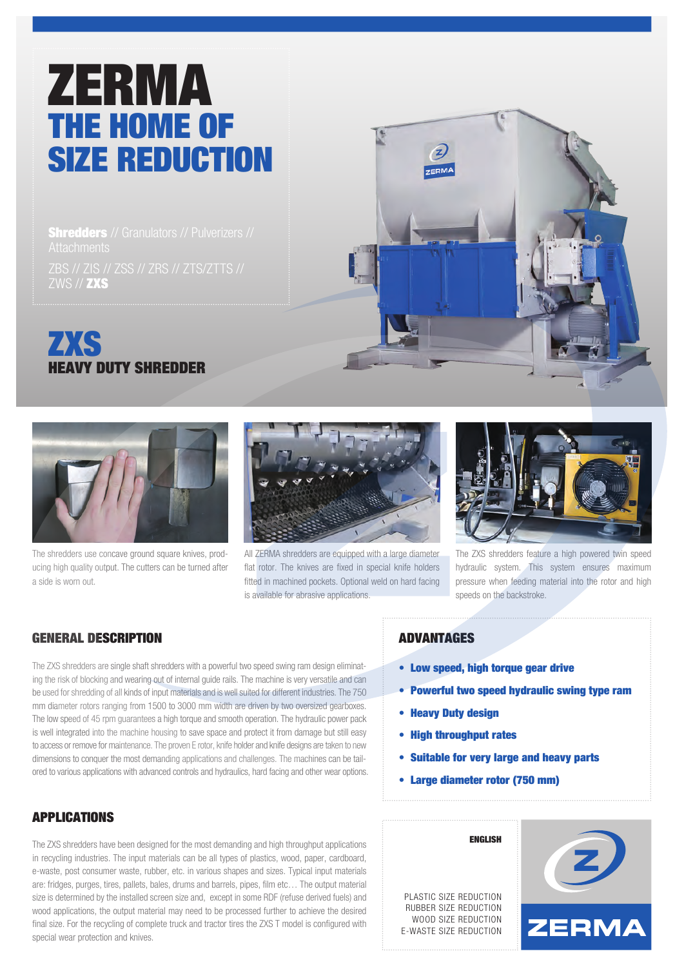# ZERMA THE HOME OF SIZE REDUCTION

**Shredders** // Granulators // Pulverizers // ZBS // ZIS // ZSS // ZRS // ZTS/ZTTS // ZWS // ZXS





The shredders use concave ground square knives, producing high quality output. The cutters can be turned after a side is worn out.



All ZERMA shredders are equipped with a large diameter flat rotor. The knives are fixed in special knife holders fitted in machined pockets. Optional weld on hard facing is available for abrasive applications.



The ZXS shredders feature a high powered twin speed hydraulic system. This system ensures maximum pressure when feeding material into the rotor and high speeds on the backstroke.

## GENERAL DESCRIPTION

The ZXS shredders are single shaft shredders with a powerful two speed swing ram design eliminating the risk of blocking and wearing out of internal guide rails. The machine is very versatile and can be used for shredding of all kinds of input materials and is well suited for different industries. The 750 mm diameter rotors ranging from 1500 to 3000 mm width are driven by two oversized gearboxes. The low speed of 45 rpm guarantees a high torque and smooth operation. The hydraulic power pack is well integrated into the machine housing to save space and protect it from damage but still easy to access or remove for maintenance. The proven E rotor, knife holder and knife designs are taken to new dimensions to conquer the most demanding applications and challenges. The machines can be tailored to various applications with advanced controls and hydraulics, hard facing and other wear options.

## APPLICATIONS

The ZXS shredders have been designed for the most demanding and high throughput applications in recycling industries. The input materials can be all types of plastics, wood, paper, cardboard, e-waste, post consumer waste, rubber, etc. in various shapes and sizes. Typical input materials are: fridges, purges, tires, pallets, bales, drums and barrels, pipes, film etc… The output material size is determined by the installed screen size and, except in some RDF (refuse derived fuels) and wood applications, the output material may need to be processed further to achieve the desired final size. For the recycling of complete truck and tractor tires the ZXS T model is configured with special wear protection and knives.

### ADVANTAGES

- Low speed, high torque gear drive
- Powerful two speed hydraulic swing type ram
- Heavy Duty design
- High throughput rates
- Suitable for very large and heavy parts
- Large diameter rotor (750 mm)